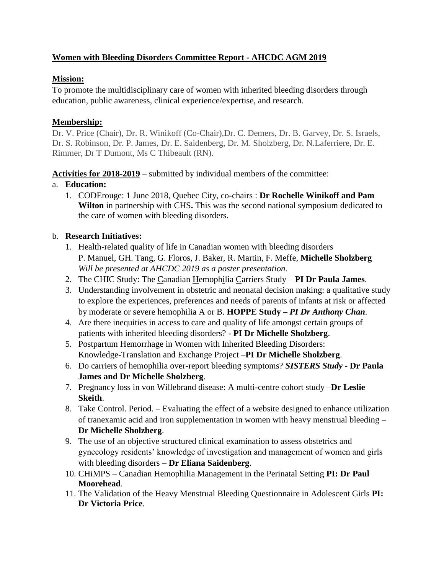# **Women with Bleeding Disorders Committee Report - AHCDC AGM 2019**

#### **Mission:**

To promote the multidisciplinary care of women with inherited bleeding disorders through education, public awareness, clinical experience/expertise, and research.

#### **Membership:**

Dr. V. Price (Chair), Dr. R. Winikoff (Co-Chair),Dr. C. Demers, Dr. B. Garvey, Dr. S. Israels, Dr. S. Robinson, Dr. P. James, Dr. E. Saidenberg, Dr. M. Sholzberg, Dr. N.Laferriere, Dr. E. Rimmer, Dr T Dumont, Ms C Thibeault (RN).

**Activities for 2018-2019** – submitted by individual members of the committee:

#### a. **Education:**

1. CODErouge: 1 June 2018, Quebec City, co-chairs : **Dr Rochelle Winikoff and Pam Wilton** in partnership with CHS**.** This was the second national symposium dedicated to the care of women with bleeding disorders.

## b. **Research Initiatives:**

- 1. Health-related quality of life in Canadian women with bleeding disorders P. Manuel, GH. Tang, G. Floros, J. Baker, R. Martin, F. Meffe, **Michelle Sholzberg** *Will be presented at AHCDC 2019 as a poster presentation.*
- 2. The CHIC Study: The Canadian Hemophilia Carriers Study **PI Dr Paula James**.
- 3. Understanding involvement in obstetric and neonatal decision making: a qualitative study to explore the experiences, preferences and needs of parents of infants at risk or affected by moderate or severe hemophilia A or B. **HOPPE Study** *– PI Dr Anthony Chan.*
- 4. Are there inequities in access to care and quality of life amongst certain groups of patients with inherited bleeding disorders? - **PI Dr Michelle Sholzberg**.
- 5. Postpartum Hemorrhage in Women with Inherited Bleeding Disorders: Knowledge-Translation and Exchange Project –**PI Dr Michelle Sholzberg**.
- 6. Do carriers of hemophilia over-report bleeding symptoms? *SISTERS Study -* **Dr Paula James and Dr Michelle Sholzberg**.
- 7. Pregnancy loss in von Willebrand disease: A multi-centre cohort study –**Dr Leslie Skeith**.
- 8. Take Control. Period. Evaluating the effect of a website designed to enhance utilization of tranexamic acid and iron supplementation in women with heavy menstrual bleeding – **Dr Michelle Sholzberg**.
- 9. The use of an objective structured clinical examination to assess obstetrics and gynecology residents' knowledge of investigation and management of women and girls with bleeding disorders – **Dr Eliana Saidenberg**.
- 10. CHiMPS Canadian Hemophilia Management in the Perinatal Setting **PI: Dr Paul Moorehead**.
- 11. The Validation of the Heavy Menstrual Bleeding Questionnaire in Adolescent Girls **PI: Dr Victoria Price**.